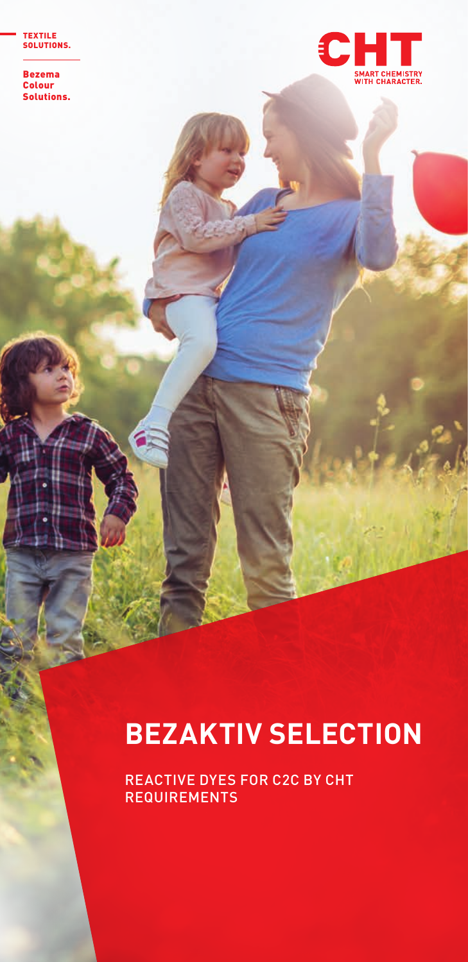TEXTILE SOLUTIONS.

Bezema Colour Solutions.



## **BEZAKTIV SELECTION**

REACTIVE DYES FOR C2C BY CHT **REQUIREMENTS**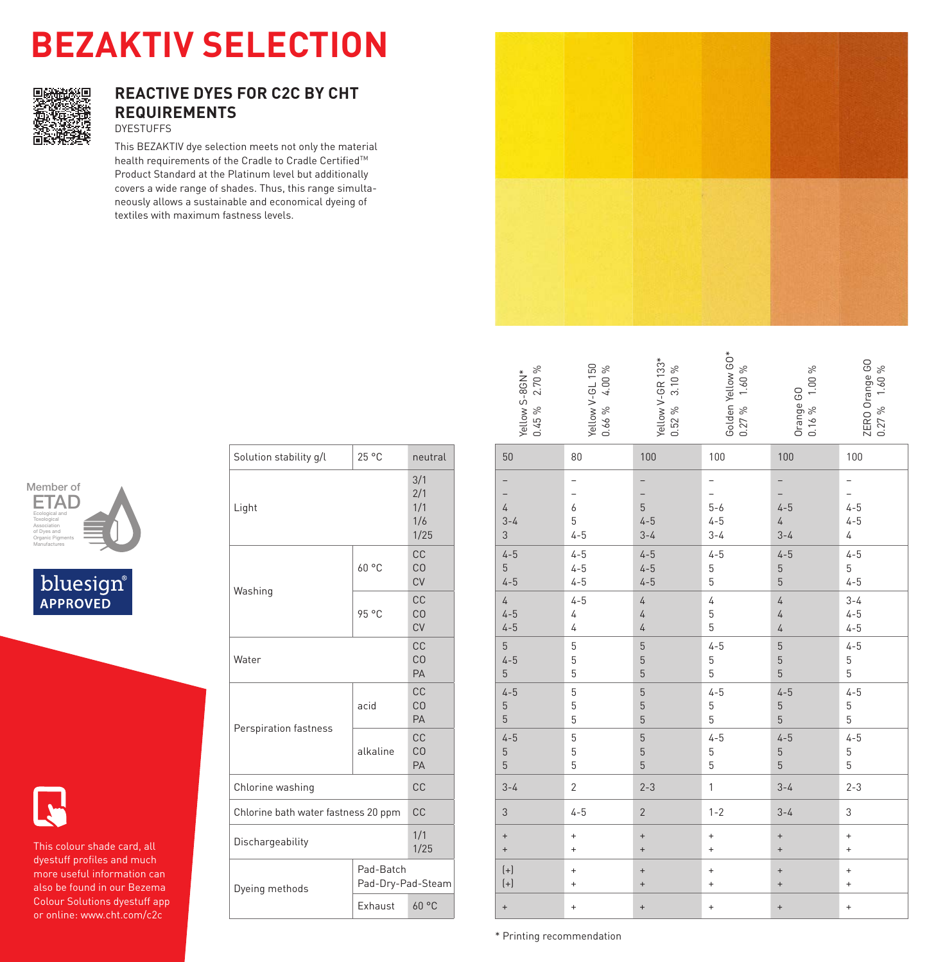# **BEZAKTIV SELECTION BEZAKTIV SELECTION**



### **REACTIVE DYES FOR C2C BY CHT REACTIVE DYES FOR C2C BY CHT REQUIREMENTS REQUIREMENTS** DYESTUFFS DYESTUFFS

This BEZAKTIV dye selection meets not only the material This BEZAKTIV dye selection meets not only the material health requirements of the Cradle to Cradle Certified™ Product Standard at the Platinum level but additionally Product Standard at the Platinum level but additionally covers a wide range of shades. Thus, this range simulta-covers a wide range of shades. Thus, this range simultaneously allows a sustainable and economical dyeing of neously allows a sustainable and economical dyeing of textiles with maximum fastness levels. textiles with maximum fastness levels.



| $0.45\%$ 2.70 %<br>Yellow S-8GN*              | Yellow V-GL 150<br>0.66% 4.00% | Yellow V-GR 133*<br>3.10%<br>$0.52 \%$         | Golden Yellow GO*<br>$0.27\%$ 1.60% | $0.16\%$ 1.00%<br>Orange GO                        | ZERO Orange GO<br>$0.27\%$ 1.60%     |
|-----------------------------------------------|--------------------------------|------------------------------------------------|-------------------------------------|----------------------------------------------------|--------------------------------------|
| 50                                            | 80                             | 100                                            | 100                                 | 100                                                | 100                                  |
| $\overline{4}$<br>$3 - 4$<br>3                | 6<br>5<br>$4 - 5$              | -<br>$\overline{a}$<br>5<br>$4-5$<br>3-4       | -<br>$5 - 6$<br>$4 - 5$<br>$3 - 4$  | 1<br>۵<br>$4 - 5$<br>$rac{4}{3-4}$                 | $4 - 5$<br>$4 - 5$<br>$\overline{4}$ |
| $4 - 5$<br>5<br>$4 - 5$                       | $4-5$<br>$4-5$<br>$4-5$        | $4-5$<br>$4-5$<br>$4-5$                        | $4 - 5$<br>5<br>5                   | $4 - 5$<br>5<br>5                                  | $4 - 5$<br>$\frac{5}{4-5}$           |
| $\sqrt{4}$<br>$4 - 5$<br>$4 - 5$              | $4 - 5$<br>$\sqrt{4}$<br>4     | $\sqrt{4}$<br>$\overline{4}$<br>$\overline{4}$ | 4<br>$\frac{5}{5}$                  | $\overline{4}$<br>$\overline{4}$<br>$\overline{4}$ | $3 - 4$<br>$4 - 5$<br>$4 - 5$        |
| 5<br>$4 - 5$<br>$\overline{5}$                | 5<br>$\frac{5}{5}$             | 5<br>5<br>5                                    | $4 - 5$<br>$\frac{5}{5}$            | 5<br>$\frac{5}{5}$                                 | $4 - 5$<br>$\frac{5}{5}$             |
| $4 - 5$<br>5<br>5                             | 5<br>$\frac{5}{5}$             | 5<br>$\frac{5}{5}$                             | $4 - 5$<br>$\frac{5}{5}$            | $4 - 5$<br>$\frac{5}{5}$                           | $4 - 5$<br>5<br>5                    |
| $4 - 5$<br>5<br>5                             | 5<br>5<br>5                    | 5<br>5<br>5                                    | $4 - 5$<br>5<br>5                   | $4 - 5$<br>5<br>5                                  | $4 - 5$<br>5<br>5                    |
| $3 - 4$                                       | $\overline{c}$                 | $2 - 3$                                        | 1                                   | $3 - 4$                                            | $2 - 3$                              |
| 3                                             | $4 - 5$                        | $\overline{2}$                                 | $1 - 2$                             | $3 - 4$                                            | 3                                    |
| $\begin{array}{c} + \end{array}$<br>$\ddot{}$ | $\ddot{}$<br>$\ddot{}$         | $\ddot{}$<br>$\ddot{}$                         | $\ddot{}$<br>$\ddot{}$              | $^{+}$<br>$\ddot{}$                                | $\ddot{}$<br>$\ddot{}$               |
| $\left( +\right)$<br>$(+)$                    | $\ddot{}$<br>$\ddot{}$         | $\ddot{}$<br>$\ddot{}$                         | $\ddot{}$<br>$\ddot{}$              | $^{+}$<br>$\ddot{}$                                | $\ddot{}$<br>$\ddot{}$               |
| $\qquad \qquad +$                             | $\ddot{}$                      | $\ddot{}$                                      | $\ddot{}$                           | $\qquad \qquad +$                                  | $\ddot{}$                            |







This colour shade card, all This colour shade card, all dyestuff profiles and much dyestuff profiles and much more useful information can more useful information can also be found in our Bezema also be found in our Bezema Colour Solutions dyestuff app Colour Solutions dyestuff app or online: www.cht.com/c2c or online: www.cht.com/c2c

| Solution stability g/l              | 25 °C                          | neutral                          |
|-------------------------------------|--------------------------------|----------------------------------|
| Light                               |                                | 3/1<br>2/1<br>1/1<br>1/6<br>1/25 |
| Washing                             | 60 °C                          | CC<br>CO<br>CV                   |
|                                     | 95 °C                          | CC<br>CO<br>CV                   |
| Water                               |                                | CC<br>CO<br>PA                   |
|                                     | acid                           | CC<br>CO<br>PA                   |
| Perspiration fastness               | alkaline                       | CC<br>CO<br>PA                   |
| Chlorine washing                    |                                | CC                               |
| Chlorine bath water fastness 20 ppm |                                | CC                               |
| Dischargeability                    |                                | 1/1<br>1/25                      |
| Dyeing methods                      | Pad-Batch<br>Pad-Dry-Pad-Steam |                                  |
|                                     | Exhaust                        | 60°C                             |

\* Printing recommendation \* Printing recommendation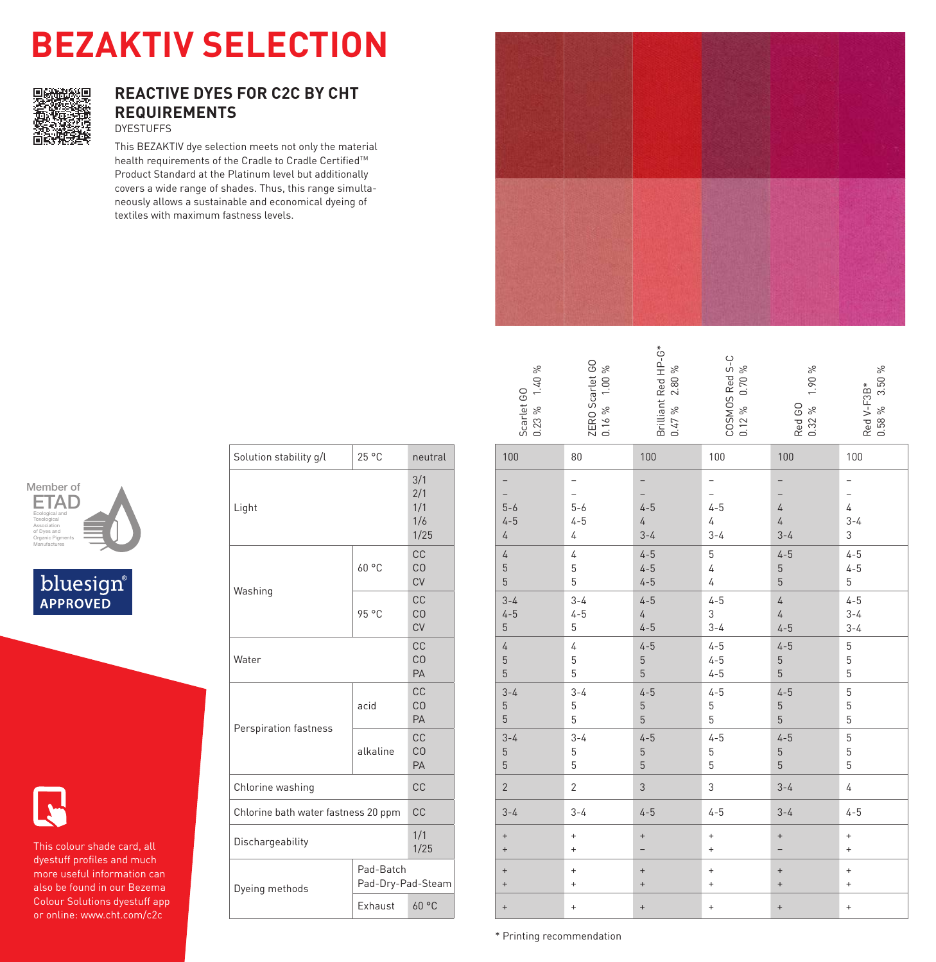# **BEZAKTIV SELECTION**



### **REACTIVE DYES FOR C2C BY CHT REQUIREMENTS** DYESTUFFS

This BEZAKTIV dye selection meets not only the material health requirements of the Cradle to Cradle Certified™ Product Standard at the Platinum level but additionally covers a wide range of shades. Thus, this range simultaneously allows a sustainable and economical dyeing of textiles with maximum fastness levels.



| $0.23\%$ 1.40%<br>Scarlet GO                   | ZERO Scarlet GO<br>0.16 % 1.00 %      | Brilliant Red HP-G*<br>$2.80\,\%$<br>0.47% | COSMOS Red S-C<br>$0.70\,\%$<br>$0.12\%$ | 1.90%<br>Red GO<br>0.32 %               | Red V-F3B*<br>0.58 % 3.50 %    |
|------------------------------------------------|---------------------------------------|--------------------------------------------|------------------------------------------|-----------------------------------------|--------------------------------|
| 100                                            | 80                                    | 100                                        | 100                                      | 100                                     | 100                            |
| -<br>$5 - 6$<br>$4 - 5$<br>$\sqrt{4}$          | -<br>$5 - 6$<br>$4 - 5$<br>4          | -<br>$4 - 5$<br>$\overline{4}$<br>$3 - 4$  | -<br>$4 - 5$<br>$\sqrt{4}$<br>$3 - 4$    | $\overline{4}$<br>$\sqrt{4}$<br>$3 - 4$ | $\overline{4}$<br>$3 - 4$<br>3 |
| $\sqrt{4}$<br>$\overline{5}$<br>5              | $\overline{4}$<br>5<br>5              | $4 - 5$<br>$4 - 5$<br>$4 - 5$              | 5<br>$\overline{4}$<br>$\overline{4}$    | $4 - 5$<br>5<br>$\overline{5}$          | $4 - 5$<br>$4 - 5$<br>5        |
| $3 - 4$<br>$4 - 5$<br>$\overline{5}$           | $3 - 4$<br>$4 - 5$<br>5               | $4 - 5$<br>$\sqrt{4}$<br>$4 - 5$           | $4 - 5$<br>3<br>$3 - 4$                  | $\overline{4}$<br>$\sqrt{4}$<br>$4 - 5$ | $4 - 5$<br>$3 - 4$<br>$3 - 4$  |
| $\sqrt{4}$<br>$\overline{5}$<br>$\overline{5}$ | $\overline{4}$<br>$\overline{5}$<br>5 | $4 - 5$<br>5<br>5                          | $4 - 5$<br>$4 - 5$<br>$4 - 5$            | $4 - 5$<br>5<br>5                       | $\overline{5}$<br>5<br>5       |
| $3 - 4$<br>$\overline{5}$<br>$\sqrt{5}$        | $3 - 4$<br>5<br>5                     | $4 - 5$<br>$\frac{5}{5}$                   | $4 - 5$<br>$\,$ 5 $\,$<br>5              | $4 - 5$<br>5<br>$\overline{5}$          | $\overline{5}$<br>5<br>5       |
| $3 - 4$<br>$\overline{5}$<br>$\overline{5}$    | $3 - 4$<br>5<br>5                     | $4 - 5$<br>5<br>5                          | $4 - 5$<br>$\overline{5}$<br>5           | $4 - 5$<br>5<br>5                       | 5<br>5<br>5                    |
| $\overline{2}$                                 | $\overline{2}$                        | 3                                          | 3                                        | $3 - 4$                                 | $\sqrt{4}$                     |
| $3 - 4$                                        | $3 - 4$                               | $4 - 5$                                    | $4 - 5$                                  | $3 - 4$                                 | $4 - 5$                        |
| $\ddot{}$<br>$\ddot{}$                         | $\ddot{}$<br>$\ddot{}$                | $\ddot{}$                                  | $\ddot{}$<br>$\ddot{}$                   | $^{+}$                                  | $\ddot{}$<br>$\ddot{}$         |
| $\! + \!$<br>$\ddot{}$                         | $\ddot{}$<br>$\ddot{}$                | $\ddot{}$<br>$\ddot{}$                     | $\ddot{}$<br>$\ddot{}$                   | $\qquad \qquad +$<br>$\ddot{}$          | $\ddot{}$<br>$\ddot{}$         |
| $\ddot{}$                                      | $\ddot{}$                             | $\ddot{}$                                  | $\ddot{}$                                | $\qquad \qquad +$                       | $\ddot{}$                      |







This colour shade card, all dyestuff profiles and much more useful information can also be found in our Bezema Colour Solutions dyestuff app or online: www.cht.com/c2c

| Solution stability g/l              | 25 °C                          | neutral                          |
|-------------------------------------|--------------------------------|----------------------------------|
| Light                               |                                | 3/1<br>2/1<br>1/1<br>1/6<br>1/25 |
|                                     | 60°C                           | CC<br>CO<br>CV                   |
| Washing                             | 95 °C                          | CC<br>CO<br>CV                   |
| Water                               |                                | CC<br>CO<br>PA                   |
|                                     | acid                           | CC<br>CO<br>PA                   |
| Perspiration fastness               | alkaline                       | C.C.<br>CO<br>PA                 |
| Chlorine washing                    |                                | CC                               |
| Chlorine bath water fastness 20 ppm |                                | <b>CC</b>                        |
| Dischargeability                    |                                | 1/1<br>1/25                      |
| Dyeing methods                      | Pad-Batch<br>Pad-Dry-Pad-Steam |                                  |
|                                     | Exhaust                        | 60°C                             |

\* Printing recommendation \* Printing recommendation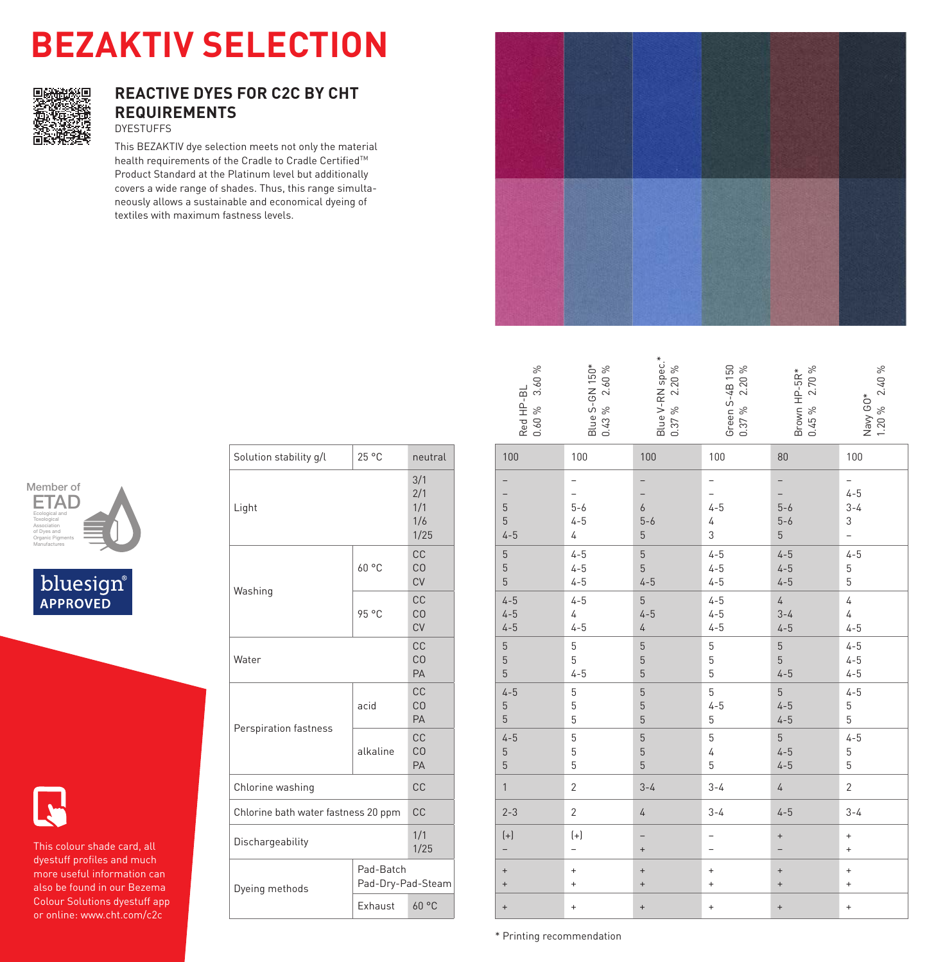# **BEZAKTIV SELECTION**



### **REACTIVE DYES FOR C2C BY CHT REQUIREMENTS** DYESTUFFS

This BEZAKTIV dye selection meets not only the material health requirements of the Cradle to Cradle Certified™ Product Standard at the Platinum level but additionally covers a wide range of shades. Thus, this range simultaneously allows a sustainable and economical dyeing of textiles with maximum fastness levels.



| 3.60%<br>Red HP-BL<br>$0.60 \%$          | Blue S-GN 150*<br>0.43 % 2.60 % | Blue V-RN spec.*<br>0.37 % 2.20 %                  | Green S-4B 150<br>0.37 % 2.20 %  | Brown HP-5R*<br>0.45 % 2.70 %        | $1.20\%$ 2.40%<br>Navy GO*          |
|------------------------------------------|---------------------------------|----------------------------------------------------|----------------------------------|--------------------------------------|-------------------------------------|
| 100                                      | 100                             | 100                                                | 100                              | 80                                   | 100                                 |
| 5<br>5<br>$4 - 5$                        | $5 - 6$<br>$4 - 5$<br>4         | $\boldsymbol{6}$<br>$5 - 6$<br>$\overline{5}$      | $4 - 5$<br>4<br>3                | $5 - 6$<br>$5-6$<br>5                | $4 - 5$<br>$3 - 4$<br>3             |
| $\mathbf 5$<br>$\mathbf 5$<br>5          | $4 - 5$<br>$4 - 5$<br>$4 - 5$   | $\overline{5}$<br>$\overline{5}$<br>$4 - 5$        | $4 - 5$<br>$4 - 5$<br>$4 - 5$    | $4 - 5$<br>$4 - 5$<br>$4 - 5$        | $4 - 5$<br>5<br>5                   |
| $4 - 5$<br>$4 - 5$<br>$4 - 5$            | $4 - 5$<br>4<br>$4 - 5$         | $\overline{5}$<br>$4 - 5$<br>$\sqrt{4}$            | $4 - 5$<br>$4 - 5$<br>$4 - 5$    | $\overline{4}$<br>$3 - 4$<br>$4 - 5$ | $\sqrt{4}$<br>$\sqrt{4}$<br>$4 - 5$ |
| $\overline{5}$<br>$\mathbf 5$<br>5       | 5<br>5<br>$4 - 5$               | $\overline{5}$<br>$\overline{5}$<br>$\overline{5}$ | 5<br>5<br>5                      | 5<br>5<br>$4 - 5$                    | $4 - 5$<br>$4 - 5$<br>$4 - 5$       |
| $4 - 5$<br>$\mathbf 5$<br>$\overline{5}$ | 5<br>5<br>5                     | $\overline{5}$<br>$\overline{5}$<br>5              | 5<br>$4 - 5$<br>5                | 5<br>$4 - 5$<br>$4 - 5$              | $4 - 5$<br>5<br>5                   |
| $4 - 5$<br>$\mathbf 5$<br>$\overline{5}$ | 5<br>5<br>5                     | 5<br>$\overline{5}$<br>$\overline{5}$              | 5<br>4<br>5                      | 5<br>$4 - 5$<br>$4 - 5$              | $4 - 5$<br>5<br>5                   |
| $\mathbf{1}$                             | $\overline{2}$                  | $3 - 4$                                            | $3 - 4$                          | $\overline{4}$                       | $\overline{c}$                      |
| $2 - 3$                                  | $\overline{2}$                  | $\overline{4}$                                     | $3 - 4$                          | $4 - 5$                              | $3 - 4$                             |
| $\left( +\right)$                        | $\left(+\right)$                | -<br>$\ddot{}$                                     |                                  | $\ddot{}$                            | $\ddot{}$<br>$\ddot{}$              |
| $\ddot{}$<br>$\ddot{}$                   | $\ddot{}$<br>$\ddot{}$          | $\ddot{}$<br>$\ddot{}$                             | $\ddot{}$<br>$\ddot{}$           | $\ddot{}$<br>$\ddot{}$               | $\ddot{}$<br>$\ddot{}$              |
| $\ddot{}$                                | $\ddot{}$                       | $\ddot{}$                                          | $\begin{array}{c} + \end{array}$ | $\ddot{}$                            | $\ddot{}$                           |







This colour shade card, all dyestuff profiles and much more useful information can also be found in our Bezema Colour Solutions dyestuff app or online: www.cht.com/c2c

| Solution stability g/l              | 25 °C                          | neutral                          |
|-------------------------------------|--------------------------------|----------------------------------|
| Light                               |                                | 3/1<br>2/1<br>1/1<br>1/6<br>1/25 |
| Washing                             | 60°C                           | CC<br>CO<br>CV                   |
|                                     | 95 °C                          | CC<br>CO<br>CV                   |
| Water                               |                                | CC<br>CO<br>PA                   |
|                                     | acid                           | CC<br>CO<br>PA                   |
| Perspiration fastness               | alkaline                       | C.C.<br>CO<br>PA                 |
| Chlorine washing                    |                                | CC                               |
| Chlorine bath water fastness 20 ppm |                                | CC                               |
| Dischargeability                    |                                | 1/1<br>1/25                      |
| Dyeing methods                      | Pad-Batch<br>Pad-Dry-Pad-Steam |                                  |
|                                     | Exhaust                        | 60°C                             |

\* Printing recommendation \* Printing recommendation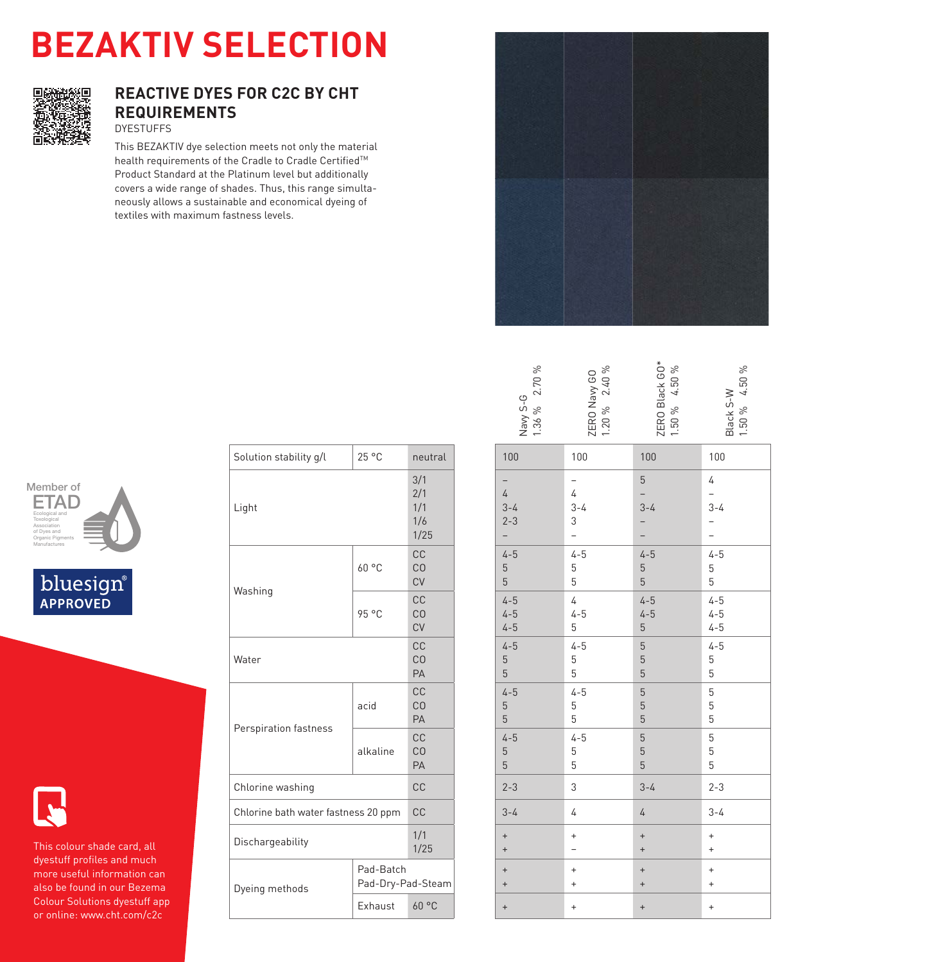# **BEZAKTIV SELECTION**



### **REACTIVE DYES FOR C2C BY CHT REQUIREMENTS** DYESTUFFS

This BEZAKTIV dye selection meets not only the material health requirements of the Cradle to Cradle Certified™ Product Standard at the Platinum level but additionally covers a wide range of shades. Thus, this range simultaneously allows a sustainable and economical dyeing of textiles with maximum fastness levels.



| Member of                        |  |
|----------------------------------|--|
|                                  |  |
| Ecological and<br>Toxological    |  |
| Association<br>of Dyes and       |  |
| Organic Pigments<br>Manufactures |  |
|                                  |  |





This colour shade card, all dyestuff profiles and much more useful information can also be found in our Bezema Colour Solutions dyestuff app or online: www.cht.com/c2c

| Solution stability g/l              | 25 °C                          | neutral                           |
|-------------------------------------|--------------------------------|-----------------------------------|
| Light                               |                                | 3/1<br>2/1<br>1/1<br>1/6<br>1/25  |
| Washing                             | 60 °C                          | CC<br>C <sub>O</sub><br><b>CV</b> |
|                                     | 95 °C                          | CC<br>C <sub>O</sub><br><b>CV</b> |
| Water                               |                                | CC<br>CO<br>PA                    |
|                                     | acid                           | CC<br>CO<br>PA                    |
| Perspiration fastness               | alkaline                       | CC<br>C <sub>O</sub><br>PA        |
| Chlorine washing                    |                                | <b>CC</b>                         |
| Chlorine bath water fastness 20 ppm |                                | <b>CC</b>                         |
| Dischargeability                    |                                | 1/1<br>1/25                       |
| Dyeing methods                      | Pad-Batch<br>Pad-Dry-Pad-Steam |                                   |
|                                     | Exhaust                        | 60 °C                             |

|                    | 100                           | 100                     | 100       |
|--------------------|-------------------------------|-------------------------|-----------|
| Navy S-G<br>1.36 % | ZERO Navy GO<br>1.20 % 2.40 % | ZERO Black GO*<br>1.50% | Black S-W |
| 2.70%              |                               | 4.50 %                  |           |

1.50 % 4.50 %

1.50 % 4.50 %

Golden Yellow GO\*

| 100                              | 100                              | 100                      | 100                              |
|----------------------------------|----------------------------------|--------------------------|----------------------------------|
| $\overline{\phantom{a}}$         | $\overline{\phantom{a}}$         | $5\overline{)}$          | 4                                |
| $\overline{4}$                   | $\sqrt{4}$                       | $\overline{a}$           | $\overline{\phantom{0}}$         |
| $3 - 4$                          | $3 - 4$                          | $3 - 4$                  | $3 - 4$                          |
| $2 - 3$                          | 3                                | $\overline{\phantom{0}}$ | $\overline{\phantom{0}}$         |
| $\overline{\phantom{a}}$         | $\overline{a}$                   | $\overline{\phantom{0}}$ | -                                |
| $4 - 5$                          | $4 - 5$                          | $4 - 5$                  | $4 - 5$                          |
| $5\,$                            | 5                                | $\overline{5}$           | $\overline{5}$                   |
| $5\overline{)}$                  | $\,$ 5 $\,$                      | $5\overline{)}$          | 5                                |
| $4 - 5$                          | $\overline{4}$                   | $4 - 5$                  | $4 - 5$                          |
| $4 - 5$                          | $4 - 5$                          | $4 - 5$                  | $4 - 5$                          |
| $4 - 5$                          | 5                                | $5\phantom{.}$           | $4 - 5$                          |
| $4 - 5$                          | $4 - 5$                          | $\mathbf 5$              | $4 - 5$                          |
| $5\,$                            | 5                                | $\sqrt{5}$               | 5                                |
| $5\phantom{.0}$                  | 5                                | $\overline{5}$           | 5                                |
| $4 - 5$                          | $4 - 5$                          | $\sqrt{5}$               | $\sqrt{5}$                       |
| $\mathbf 5$                      | 5                                | $\overline{5}$           | 5                                |
| $5\,$                            | 5                                | 5                        | $\,$ 5 $\,$                      |
| $4 - 5$                          | $4 - 5$                          | $\overline{5}$           | $\mathbf 5$                      |
| $\mathbf 5$                      | 5                                | $\overline{5}$           | 5                                |
| $\overline{5}$                   | 5                                | $\overline{5}$           | 5                                |
| $2 - 3$                          | 3                                | $3 - 4$                  | $2 - 3$                          |
| $3 - 4$                          | 4                                | $\overline{4}$           | $3 - 4$                          |
| $\qquad \qquad +$                | $\ddot{}$                        | $\qquad \qquad +$        | $\begin{array}{c} + \end{array}$ |
| $\begin{array}{c} + \end{array}$ | $\overline{\phantom{0}}$         | $\ddot{}$                | $\pm$                            |
| $\pm$                            | $\ddot{}$                        | $\qquad \qquad +$        | $\ddot{}$                        |
| $\qquad \qquad +$                | $\ddot{}$                        | $\ddot{}$                | $\bf{+}$                         |
| $\qquad \qquad +$                | $\begin{array}{c} + \end{array}$ | $\qquad \qquad +$        | $\bf{+}$                         |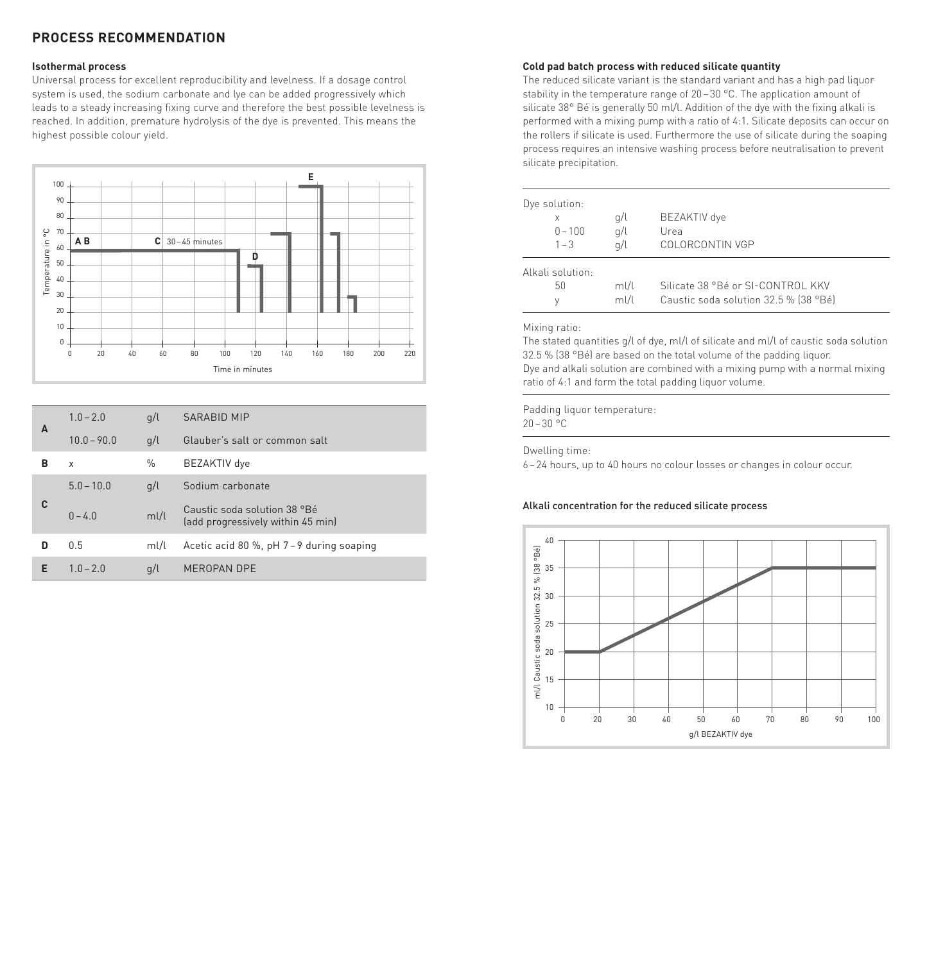### **PROCESS RECOMMENDATION**

#### **Isothermal process**

Universal process for excellent reproducibility and levelness. If a dosage control system is used, the sodium carbonate and lye can be added progressively which leads to a steady increasing fixing curve and therefore the best possible levelness is reached. In addition, premature hydrolysis of the dye is prevented. This means the highest possible colour yield.



|   |               |      | Time in minutes                                                   |
|---|---------------|------|-------------------------------------------------------------------|
|   |               |      |                                                                   |
| A | $1.0 - 2.0$   | q/l  | <b>SARABID MIP</b>                                                |
|   | $10.0 - 90.0$ | q/l  | Glauber's salt or common salt                                     |
| в | $\mathsf{x}$  | $\%$ | BEZAKTIV dye                                                      |
|   | $5.0 - 10.0$  | q/l  | Sodium carbonate                                                  |
| C | $0 - 4.0$     | m!/l | Caustic soda solution 38 °Bé<br>(add progressively within 45 min) |
| D | 0.5           | m!/l | Acetic acid 80 %, pH 7-9 during soaping                           |
| E | $1.0 - 2.0$   | q/l  | MEROPAN DPE                                                       |
|   |               |      |                                                                   |

#### **Cold pad batch process with reduced silicate quantity**

The reduced silicate variant is the standard variant and has a high pad liquor stability in the temperature range of 20–30 °C. The application amount of silicate 38° Bé is generally 50 ml/l. Addition of the dye with the fixing alkali is performed with a mixing pump with a ratio of 4:1. Silicate deposits can occur on the rollers if silicate is used. Furthermore the use of silicate during the soaping process requires an intensive washing process before neutralisation to prevent silicate precipitation.

| Dye solution:<br>X<br>$0 - 100$<br>$1 - 3$ | q/l<br>q/l<br>g/l | BEZAKTIV dye<br>Urea<br>COLORCONTIN VGP |
|--------------------------------------------|-------------------|-----------------------------------------|
| Alkali solution:                           |                   |                                         |
| 50                                         | ml/l              | Silicate 38 °Bé or SI-CONTROL KKV       |
| ٧                                          | ml/l              | Caustic soda solution 32.5 % (38 °Bé)   |

#### Mixing ratio:

The stated quantities g/l of dye, ml/l of silicate and ml/l of caustic soda solution 32.5 % (38 °Bé) are based on the total volume of the padding liquor. Dye and alkali solution are combined with a mixing pump with a normal mixing ratio of 4:1 and form the total padding liquor volume.

Padding liquor temperature:  $20 - 30 °C$ 

Dwelling time:

6–24 hours, up to 40 hours no colour losses or changes in colour occur.

#### Alkali concentration for the reduced silicate process

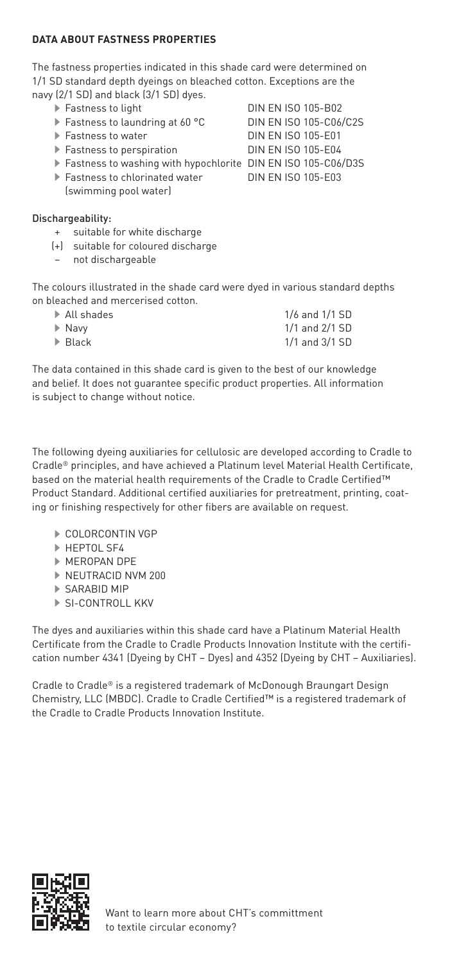#### **DATA ABOUT FASTNESS PROPERTIES**

The fastness properties indicated in this shade card were determined on 1/1 SD standard depth dyeings on bleached cotton. Exceptions are the navy (2/1 SD) and black (3/1 SD) dyes.

- 
- Fastness to laundring at 60 °C<br>Eastness to water
- 
- Fastness to perspiration DIN EN ISO 105-E04
- Fastness to washing with hypochlorite DIN EN ISO 105-C06/D3S
- ▶ Fastness to chlorinated water DIN EN ISO 105-E03 (swimming pool water)

#### Dischargeability:

- + suitable for white discharge
- (+) suitable for coloured discharge
- not dischargeable

The colours illustrated in the shade card were dyed in various standard depths on bleached and mercerised cotton.

| $\blacktriangleright$ All shades | 1/6 and 1/1 SD |
|----------------------------------|----------------|
| ▶ Navv                           | 1/1 and 2/1 SD |
| $\blacktriangleright$ Black      | 1/1 and 3/1 SD |

The data contained in this shade card is given to the best of our knowledge and belief. It does not guarantee specific product properties. All information is subject to change without notice.

The following dyeing auxiliaries for cellulosic are developed according to Cradle to Cradle® principles, and have achieved a Platinum level Material Health Certificate, based on the material health requirements of the Cradle to Cradle Certified™ Product Standard. Additional certified auxiliaries for pretreatment, printing, coating or finishing respectively for other fibers are available on request.

- COLORCONTIN VGP
- **HEPTOL SF4**
- MEROPAN DPE
- ▶ NEUTRACID NVM 200
- SARABID MIP
- SI-CONTROLL KKV

The dyes and auxiliaries within this shade card have a Platinum Material Health Certificate from the Cradle to Cradle Products Innovation Institute with the certification number 4341 (Dyeing by CHT – Dyes) and 4352 (Dyeing by CHT – Auxiliaries).

Cradle to Cradle® is a registered trademark of McDonough Braungart Design Chemistry, LLC (MBDC). Cradle to Cradle Certified™ is a registered trademark of the Cradle to Cradle Products Innovation Institute.



Eastness to light **DIN EN ISO 105-B02**<br>Eastness to laundring at 60 °C **DIN EN ISO 105-C06/C2S DIN EN ISO 105-E01**